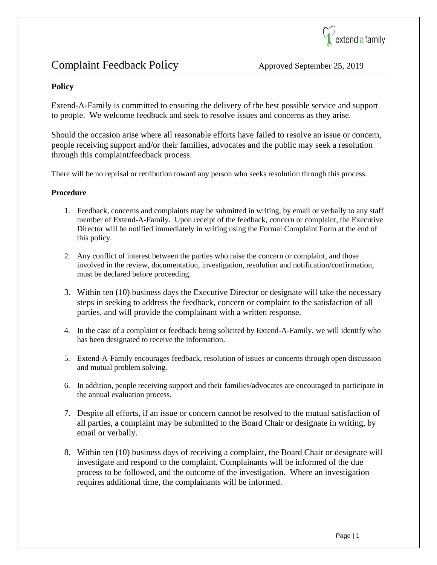

## Complaint Feedback Policy Approved September 25, 2019

### **Policy**

Extend-A-Family is committed to ensuring the delivery of the best possible service and support to people. We welcome feedback and seek to resolve issues and concerns as they arise.

Should the occasion arise where all reasonable efforts have failed to resolve an issue or concern, people receiving support and/or their families, advocates and the public may seek a resolution through this complaint/feedback process.

There will be no reprisal or retribution toward any person who seeks resolution through this process.

#### **Procedure**

- 1. Feedback, concerns and complaints may be submitted in writing, by email or verbally to any staff member of Extend-A-Family. Upon receipt of the feedback, concern or complaint, the Executive Director will be notified immediately in writing using the Formal Complaint Form at the end of this policy.
- 2. Any conflict of interest between the parties who raise the concern or complaint, and those involved in the review, documentation, investigation, resolution and notification/confirmation, must be declared before proceeding.
- 3. Within ten (10) business days the Executive Director or designate will take the necessary steps in seeking to address the feedback, concern or complaint to the satisfaction of all parties, and will provide the complainant with a written response.
- 4. In the case of a complaint or feedback being solicited by Extend-A-Family, we will identify who has been designated to receive the information.
- 5. Extend-A-Family encourages feedback, resolution of issues or concerns through open discussion and mutual problem solving.
- 6. In addition, people receiving support and their families/advocates are encouraged to participate in the annual evaluation process.
- 7. Despite all efforts, if an issue or concern cannot be resolved to the mutual satisfaction of all parties, a complaint may be submitted to the Board Chair or designate in writing, by email or verbally.
- 8. Within ten (10) business days of receiving a complaint, the Board Chair or designate will investigate and respond to the complaint. Complainants will be informed of the due process to be followed, and the outcome of the investigation. Where an investigation requires additional time, the complainants will be informed.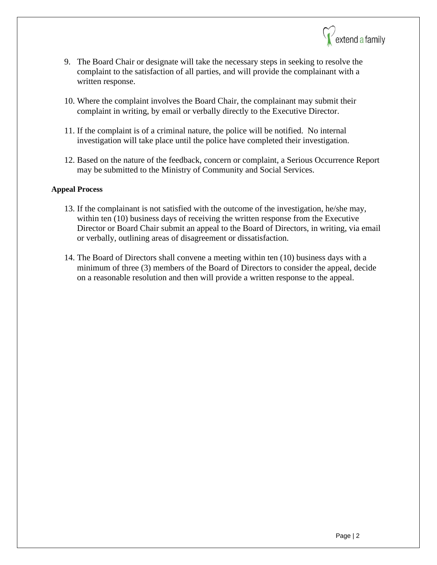

- 9. The Board Chair or designate will take the necessary steps in seeking to resolve the complaint to the satisfaction of all parties, and will provide the complainant with a written response.
- 10. Where the complaint involves the Board Chair, the complainant may submit their complaint in writing, by email or verbally directly to the Executive Director.
- 11. If the complaint is of a criminal nature, the police will be notified. No internal investigation will take place until the police have completed their investigation.
- 12. Based on the nature of the feedback, concern or complaint, a Serious Occurrence Report may be submitted to the Ministry of Community and Social Services.

#### **Appeal Process**

- 13. If the complainant is not satisfied with the outcome of the investigation, he/she may, within ten (10) business days of receiving the written response from the Executive Director or Board Chair submit an appeal to the Board of Directors, in writing, via email or verbally, outlining areas of disagreement or dissatisfaction.
- 14. The Board of Directors shall convene a meeting within ten (10) business days with a minimum of three (3) members of the Board of Directors to consider the appeal, decide on a reasonable resolution and then will provide a written response to the appeal.